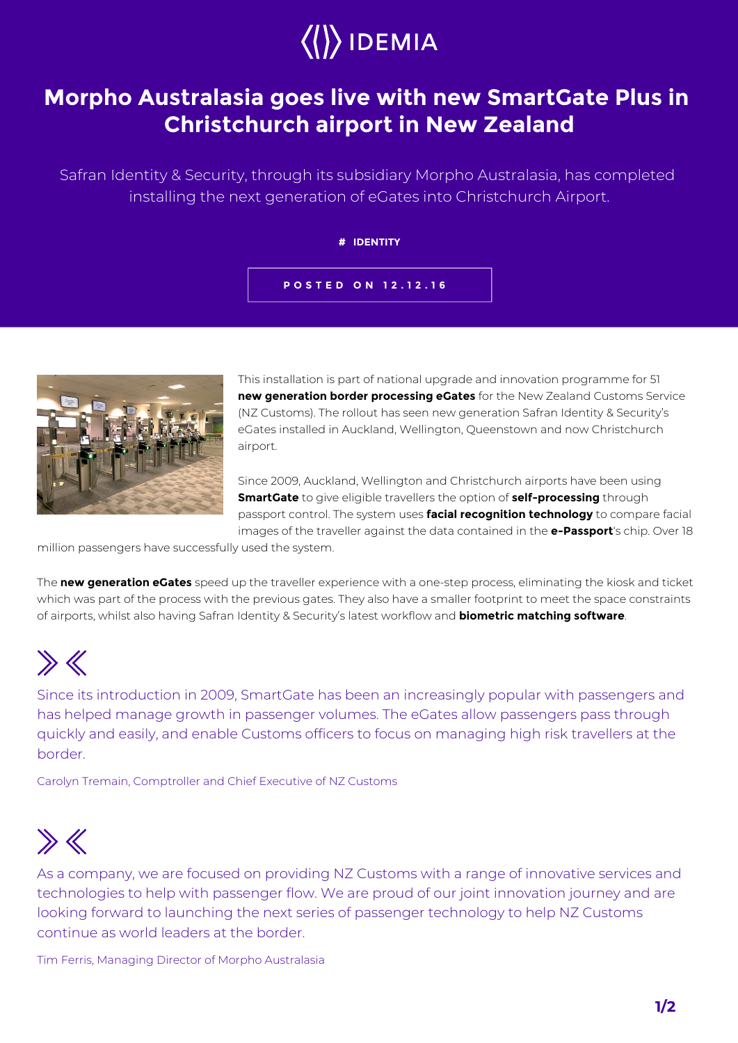

### **Morpho Australasia goes live with new SmartGate Plus in Christchurch airport in New Zealand**

Safran Identity & Security, through its subsidiary Morpho Australasia, has completed installing the next generation of eGates into Christchurch Airport.

#### **# IDENTITY**

#### **POSTED ON 12.12.16**



This installation is part of national upgrade and innovation programme for 51 **new generation border processing eGates** for the New Zealand Customs Service (NZ Customs). The rollout has seen new generation Safran Identity & Security's eGates installed in Auckland, Wellington, Queenstown and now Christchurch airport.

Since 2009, Auckland, Wellington and Christchurch airports have been using **SmartGate** to give eligible travellers the option of **self-processing** through passport control. The system uses **facial recognition technology** to compare facial images of the traveller against the data contained in the **e-Passport**'s chip. Over 18

million passengers have successfully used the system.

The **new generation eGates** speed up the traveller experience with a one-step process, eliminating the kiosk and ticket which was part of the process with the previous gates. They also have a smaller footprint to meet the space constraints of airports, whilst also having Safran Identity & Security's latest workflow and **biometric matching software**.

# $\gg 4$

Since its introduction in 2009, SmartGate has been an increasingly popular with passengers and has helped manage growth in passenger volumes. The eGates allow passengers pass through quickly and easily, and enable Customs officers to focus on managing high risk travellers at the border.

Carolyn Tremain, Comptroller and Chief Executive of NZ Customs

## $\gg K$

As a company, we are focused on providing NZ Customs with a range of innovative services and technologies to help with passenger flow. We are proud of our joint innovation journey and are looking forward to launching the next series of passenger technology to help NZ Customs continue as world leaders at the border.

Tim Ferris, Managing Director of Morpho Australasia